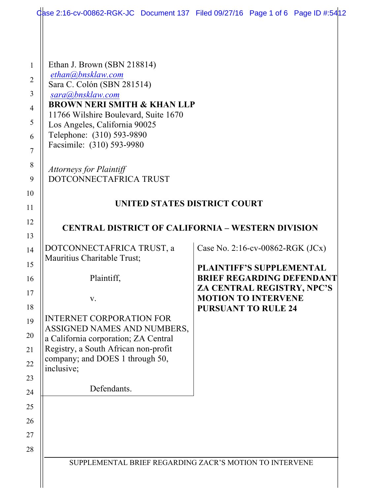| dase 2:16-cv-00862-RGK-JC Document 137 Filed 09/27/16 Page 1 of 6 Page ID #:5412 |                                                          |  |
|----------------------------------------------------------------------------------|----------------------------------------------------------|--|
|                                                                                  |                                                          |  |
|                                                                                  |                                                          |  |
| Ethan J. Brown (SBN 218814)                                                      |                                                          |  |
| ethan@bnsklaw.com<br>Sara C. Colón (SBN 281514)                                  |                                                          |  |
| sara@bnsklaw.com                                                                 |                                                          |  |
| <b>BROWN NERI SMITH &amp; KHAN LLP</b><br>11766 Wilshire Boulevard, Suite 1670   |                                                          |  |
| Los Angeles, California 90025                                                    |                                                          |  |
| Telephone: (310) 593-9890                                                        |                                                          |  |
| Facsimile: (310) 593-9980                                                        |                                                          |  |
| <b>Attorneys for Plaintiff</b>                                                   |                                                          |  |
| DOTCONNECTAFRICA TRUST                                                           |                                                          |  |
|                                                                                  |                                                          |  |
| UNITED STATES DISTRICT COURT                                                     |                                                          |  |
| <b>CENTRAL DISTRICT OF CALIFORNIA – WESTERN DIVISION</b>                         |                                                          |  |
|                                                                                  |                                                          |  |
| DOTCONNECTAFRICA TRUST, a                                                        | Case No. 2:16-cv-00862-RGK (JCx)                         |  |
| Mauritius Charitable Trust;                                                      | <b>PLAINTIFF'S SUPPLEMENTAL</b>                          |  |
| Plaintiff,                                                                       | <b>BRIEF REGARDING DEFENDANT</b>                         |  |
|                                                                                  | ZA CENTRAL REGISTRY, NPC'S<br><b>MOTION TO INTERVENE</b> |  |
| V.                                                                               | <b>PURSUANT TO RULE 24</b>                               |  |
| <b>INTERNET CORPORATION FOR</b>                                                  |                                                          |  |
| ASSIGNED NAMES AND NUMBERS,<br>a California corporation; ZA Central              |                                                          |  |
| Registry, a South African non-profit                                             |                                                          |  |
| company; and DOES 1 through 50,                                                  |                                                          |  |
| inclusive;                                                                       |                                                          |  |
| Defendants.                                                                      |                                                          |  |
|                                                                                  |                                                          |  |
|                                                                                  |                                                          |  |
|                                                                                  |                                                          |  |
|                                                                                  |                                                          |  |
| SUPPLEMENTAL BRIEF REGARDING ZACR'S MOTION TO INTERVENE                          |                                                          |  |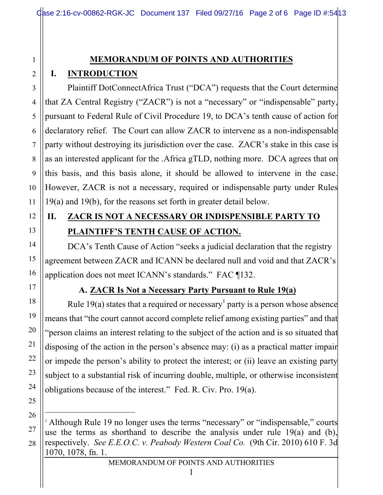## **MEMORANDUM OF POINTS AND AUTHORITIES**

# **I. INTRODUCTION**

1

2

3

4

5

6

7

8

9

10

11

12

13

14

15

16

17

18

19

20

21

22

23

24

25

26

 $\overline{a}$ 

27

28

Plaintiff DotConnectAfrica Trust ("DCA") requests that the Court determine that ZA Central Registry ("ZACR") is not a "necessary" or "indispensable" party, pursuant to Federal Rule of Civil Procedure 19, to DCA's tenth cause of action for declaratory relief. The Court can allow ZACR to intervene as a non-indispensable party without destroying its jurisdiction over the case. ZACR's stake in this case is as an interested applicant for the .Africa gTLD, nothing more. DCA agrees that on this basis, and this basis alone, it should be allowed to intervene in the case. However, ZACR is not a necessary, required or indispensable party under Rules 19(a) and 19(b), for the reasons set forth in greater detail below.

# **II. ZACR IS NOT A NECESSARY OR INDISPENSIBLE PARTY TO PLAINTIFF'S TENTH CAUSE OF ACTION.**

DCA's Tenth Cause of Action "seeks a judicial declaration that the registry agreement between ZACR and ICANN be declared null and void and that ZACR's application does not meet ICANN's standards." FAC ¶132.

## **A. ZACR Is Not a Necessary Party Pursuant to Rule 19(a)**

Rule 19(a) states that a required or necessary<sup>1</sup> party is a person whose absence means that "the court cannot accord complete relief among existing parties" and that "person claims an interest relating to the subject of the action and is so situated that disposing of the action in the person's absence may: (i) as a practical matter impair or impede the person's ability to protect the interest; or (ii) leave an existing party subject to a substantial risk of incurring double, multiple, or otherwise inconsistent obligations because of the interest." Fed. R. Civ. Pro. 19(a).

<sup>1</sup> Although Rule 19 no longer uses the terms "necessary" or "indispensable," courts use the terms as shorthand to describe the analysis under rule 19(a) and (b), respectively. *See E.E.O.C. v. Peabody Western Coal Co.* (9th Cir. 2010) 610 F. 3d 1070, 1078, fn. 1.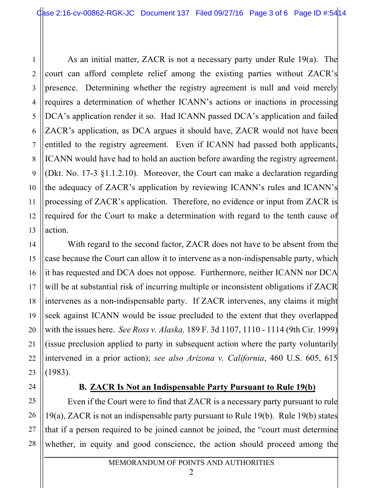1

2

3

4

5

6

7

8

9

10

11

12

13

14

15

16

17

18

19

20

21

22

23

24

25

26

27

28

As an initial matter, ZACR is not a necessary party under Rule 19(a). The court can afford complete relief among the existing parties without ZACR's presence. Determining whether the registry agreement is null and void merely requires a determination of whether ICANN's actions or inactions in processing DCA's application render it so. Had ICANN passed DCA's application and failed ZACR's application, as DCA argues it should have, ZACR would not have been entitled to the registry agreement. Even if ICANN had passed both applicants, ICANN would have had to hold an auction before awarding the registry agreement. (Dkt. No. 17-3 §1.1.2.10). Moreover, the Court can make a declaration regarding the adequacy of ZACR's application by reviewing ICANN's rules and ICANN's processing of ZACR's application. Therefore, no evidence or input from ZACR is required for the Court to make a determination with regard to the tenth cause of action.

With regard to the second factor, ZACR does not have to be absent from the case because the Court can allow it to intervene as a non-indispensable party, which it has requested and DCA does not oppose. Furthermore, neither ICANN nor DCA will be at substantial risk of incurring multiple or inconsistent obligations if ZACR intervenes as a non-indispensable party. If ZACR intervenes, any claims it might seek against ICANN would be issue precluded to the extent that they overlapped with the issues here. *See Ross v. Alaska,* 189 F. 3d 1107, 1110 - 1114 (9th Cir. 1999) (issue preclusion applied to party in subsequent action where the party voluntarily intervened in a prior action); *see also Arizona v. California*, 460 U.S. 605, 615 (1983).

#### **B. ZACR Is Not an Indispensable Party Pursuant to Rule 19(b)**

Even if the Court were to find that ZACR is a necessary party pursuant to rule 19(a), ZACR is not an indispensable party pursuant to Rule 19(b). Rule 19(b) states that if a person required to be joined cannot be joined, the "court must determine whether, in equity and good conscience, the action should proceed among the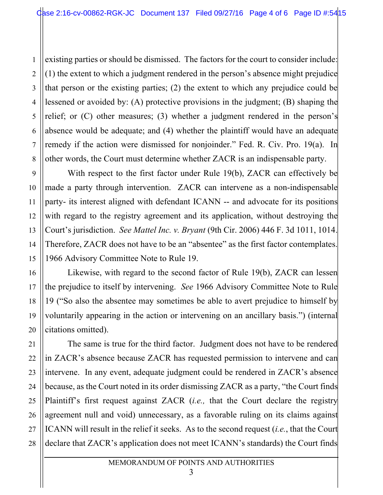2 3 4 5 6 7 8 existing parties or should be dismissed. The factors for the court to consider include: (1) the extent to which a judgment rendered in the person's absence might prejudice that person or the existing parties; (2) the extent to which any prejudice could be lessened or avoided by: (A) protective provisions in the judgment; (B) shaping the relief; or (C) other measures; (3) whether a judgment rendered in the person's absence would be adequate; and (4) whether the plaintiff would have an adequate remedy if the action were dismissed for nonjoinder." Fed. R. Civ. Pro. 19(a). In other words, the Court must determine whether ZACR is an indispensable party.

1

9

10

11

12

13

14

15

16

17

18

19

20

21

22

23

24

25

26

27

28

With respect to the first factor under Rule 19(b), ZACR can effectively be made a party through intervention. ZACR can intervene as a non-indispensable party- its interest aligned with defendant ICANN -- and advocate for its positions with regard to the registry agreement and its application, without destroying the Court's jurisdiction. *See Mattel Inc. v. Bryant* (9th Cir. 2006) 446 F. 3d 1011, 1014. Therefore, ZACR does not have to be an "absentee" as the first factor contemplates. 1966 Advisory Committee Note to Rule 19.

Likewise, with regard to the second factor of Rule 19(b), ZACR can lessen the prejudice to itself by intervening. *See* 1966 Advisory Committee Note to Rule 19 ("So also the absentee may sometimes be able to avert prejudice to himself by voluntarily appearing in the action or intervening on an ancillary basis.") (internal citations omitted).

The same is true for the third factor. Judgment does not have to be rendered in ZACR's absence because ZACR has requested permission to intervene and can intervene. In any event, adequate judgment could be rendered in ZACR's absence because, as the Court noted in its order dismissing ZACR as a party, "the Court finds Plaintiff's first request against ZACR (*i.e.,* that the Court declare the registry agreement null and void) unnecessary, as a favorable ruling on its claims against ICANN will result in the relief it seeks. As to the second request (*i.e.*, that the Court declare that ZACR's application does not meet ICANN's standards) the Court finds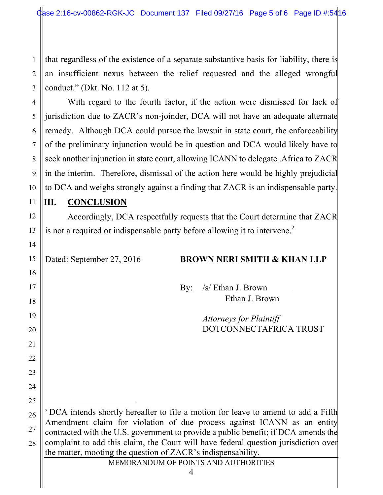1 2 3 that regardless of the existence of a separate substantive basis for liability, there is an insufficient nexus between the relief requested and the alleged wrongful conduct." (Dkt. No. 112 at 5).

With regard to the fourth factor, if the action were dismissed for lack of jurisdiction due to ZACR's non-joinder, DCA will not have an adequate alternate remedy. Although DCA could pursue the lawsuit in state court, the enforceability of the preliminary injunction would be in question and DCA would likely have to seek another injunction in state court, allowing ICANN to delegate .Africa to ZACR in the interim. Therefore, dismissal of the action here would be highly prejudicial to DCA and weighs strongly against a finding that ZACR is an indispensable party.

#### **III. CONCLUSION**

4

5

6

7

8

9

10

11

12

13

14

15

16

17

18

19

20

21

22

23

24

25

 $\overline{a}$ 

Accordingly, DCA respectfully requests that the Court determine that ZACR is not a required or indispensable party before allowing it to intervene.<sup>2</sup>

#### Dated: September 27, 2016 **BROWN NERI SMITH & KHAN LLP**

By: /s/ Ethan J. Brown Ethan J. Brown

> *Attorneys for Plaintiff* DOTCONNECTAFRICA TRUST

| $_{26}$    <sup>2</sup> DCA intends shortly hereafter to file a motion for leave to amend to add a Fifth |  |  |
|----------------------------------------------------------------------------------------------------------|--|--|
| Amendment claim for violation of due process against ICANN as an entity                                  |  |  |
| 27    contracted with the U.S. government to provide a public benefit; if DCA amends the                 |  |  |
| 28    complaint to add this claim, the Court will have federal question jurisdiction over                |  |  |
| $\parallel$ the matter, mooting the question of ZACR's indispensability.                                 |  |  |

MEMORANDUM OF POINTS AND AUTHORITIES